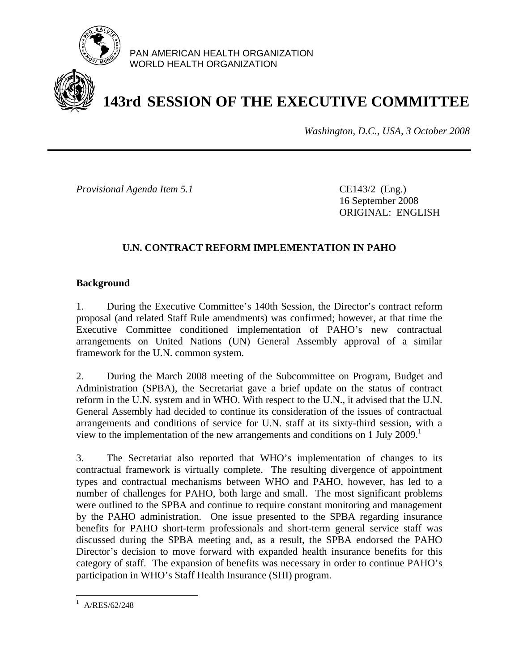

PAN AMERICAN HEALTH ORGANIZATION WORLD HEALTH ORGANIZATION

# **143rd SESSION OF THE EXECUTIVE COMMITTEE**

*Washington, D.C., USA, 3 October 2008*

*Provisional Agenda Item 5.1* **CE143/2** (Eng.)

 16 September 2008 ORIGINAL: ENGLISH

## **U.N. CONTRACT REFORM IMPLEMENTATION IN PAHO**

#### **Background**

1. During the Executive Committee's 140th Session, the Director's contract reform proposal (and related Staff Rule amendments) was confirmed; however, at that time the Executive Committee conditioned implementation of PAHO's new contractual arrangements on United Nations (UN) General Assembly approval of a similar framework for the U.N. common system.

2. During the March 2008 meeting of the Subcommittee on Program, Budget and Administration (SPBA), the Secretariat gave a brief update on the status of contract reform in the U.N. system and in WHO. With respect to the U.N., it advised that the U.N. General Assembly had decided to continue its consideration of the issues of contractual arrangements and conditions of service for U.N. staff at its sixty-third session, with a view to the implementation of the new arrangements and conditions on 1 July 2009.<sup>1</sup>

3. The Secretariat also reported that WHO's implementation of changes to its contractual framework is virtually complete. The resulting divergence of appointment types and contractual mechanisms between WHO and PAHO, however, has led to a number of challenges for PAHO, both large and small. The most significant problems were outlined to the SPBA and continue to require constant monitoring and management by the PAHO administration. One issue presented to the SPBA regarding insurance benefits for PAHO short-term professionals and short-term general service staff was discussed during the SPBA meeting and, as a result, the SPBA endorsed the PAHO Director's decision to move forward with expanded health insurance benefits for this category of staff. The expansion of benefits was necessary in order to continue PAHO's participation in WHO's Staff Health Insurance (SHI) program.

<u>.</u>

<sup>1</sup> A/RES/62/248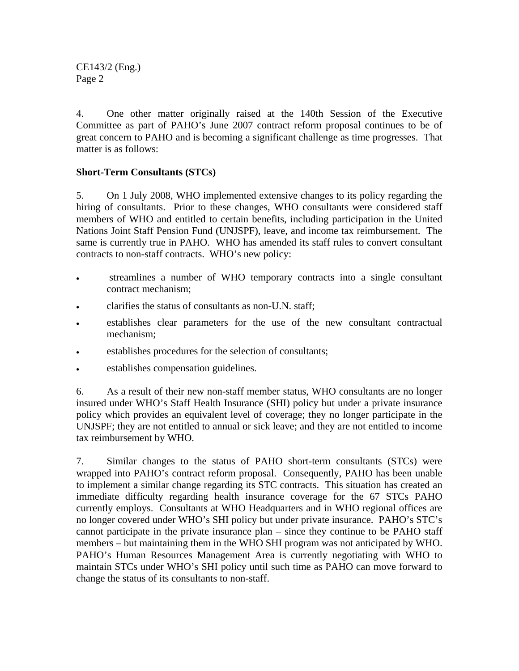CE143/2 (Eng.) Page 2

4. One other matter originally raised at the 140th Session of the Executive Committee as part of PAHO's June 2007 contract reform proposal continues to be of great concern to PAHO and is becoming a significant challenge as time progresses. That matter is as follows:

### **Short-Term Consultants (STCs)**

5. On 1 July 2008, WHO implemented extensive changes to its policy regarding the hiring of consultants. Prior to these changes, WHO consultants were considered staff members of WHO and entitled to certain benefits, including participation in the United Nations Joint Staff Pension Fund (UNJSPF), leave, and income tax reimbursement. The same is currently true in PAHO. WHO has amended its staff rules to convert consultant contracts to non-staff contracts. WHO's new policy:

- streamlines a number of WHO temporary contracts into a single consultant contract mechanism;
- clarifies the status of consultants as non-U.N. staff;
- establishes clear parameters for the use of the new consultant contractual mechanism;
- establishes procedures for the selection of consultants;
- establishes compensation guidelines.

6. As a result of their new non-staff member status, WHO consultants are no longer insured under WHO's Staff Health Insurance (SHI) policy but under a private insurance policy which provides an equivalent level of coverage; they no longer participate in the UNJSPF; they are not entitled to annual or sick leave; and they are not entitled to income tax reimbursement by WHO.

7. Similar changes to the status of PAHO short-term consultants (STCs) were wrapped into PAHO's contract reform proposal. Consequently, PAHO has been unable to implement a similar change regarding its STC contracts. This situation has created an immediate difficulty regarding health insurance coverage for the 67 STCs PAHO currently employs. Consultants at WHO Headquarters and in WHO regional offices are no longer covered under WHO's SHI policy but under private insurance. PAHO's STC's cannot participate in the private insurance plan – since they continue to be PAHO staff members – but maintaining them in the WHO SHI program was not anticipated by WHO. PAHO's Human Resources Management Area is currently negotiating with WHO to maintain STCs under WHO's SHI policy until such time as PAHO can move forward to change the status of its consultants to non-staff.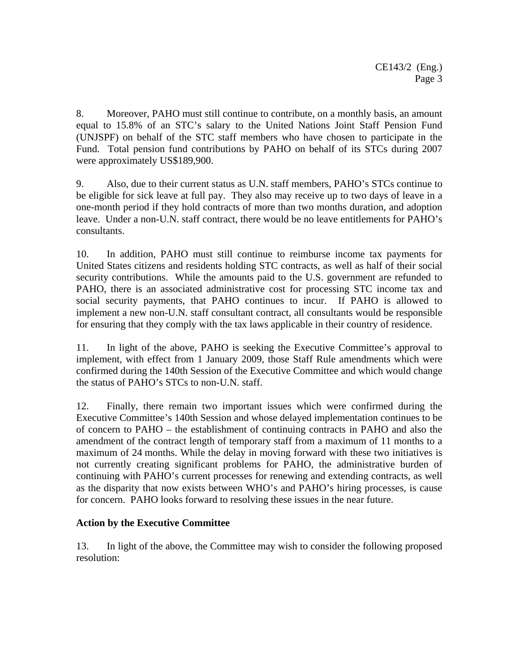8. Moreover, PAHO must still continue to contribute, on a monthly basis, an amount equal to 15.8% of an STC's salary to the United Nations Joint Staff Pension Fund (UNJSPF) on behalf of the STC staff members who have chosen to participate in the Fund. Total pension fund contributions by PAHO on behalf of its STCs during 2007 were approximately US\$189,900.

9. Also, due to their current status as U.N. staff members, PAHO's STCs continue to be eligible for sick leave at full pay. They also may receive up to two days of leave in a one-month period if they hold contracts of more than two months duration, and adoption leave. Under a non-U.N. staff contract, there would be no leave entitlements for PAHO's consultants.

10. In addition, PAHO must still continue to reimburse income tax payments for United States citizens and residents holding STC contracts, as well as half of their social security contributions. While the amounts paid to the U.S. government are refunded to PAHO, there is an associated administrative cost for processing STC income tax and social security payments, that PAHO continues to incur. If PAHO is allowed to implement a new non-U.N. staff consultant contract, all consultants would be responsible for ensuring that they comply with the tax laws applicable in their country of residence.

11. In light of the above, PAHO is seeking the Executive Committee's approval to implement, with effect from 1 January 2009, those Staff Rule amendments which were confirmed during the 140th Session of the Executive Committee and which would change the status of PAHO's STCs to non-U.N. staff.

12. Finally, there remain two important issues which were confirmed during the Executive Committee's 140th Session and whose delayed implementation continues to be of concern to PAHO – the establishment of continuing contracts in PAHO and also the amendment of the contract length of temporary staff from a maximum of 11 months to a maximum of 24 months. While the delay in moving forward with these two initiatives is not currently creating significant problems for PAHO, the administrative burden of continuing with PAHO's current processes for renewing and extending contracts, as well as the disparity that now exists between WHO's and PAHO's hiring processes, is cause for concern. PAHO looks forward to resolving these issues in the near future.

### **Action by the Executive Committee**

13. In light of the above, the Committee may wish to consider the following proposed resolution: